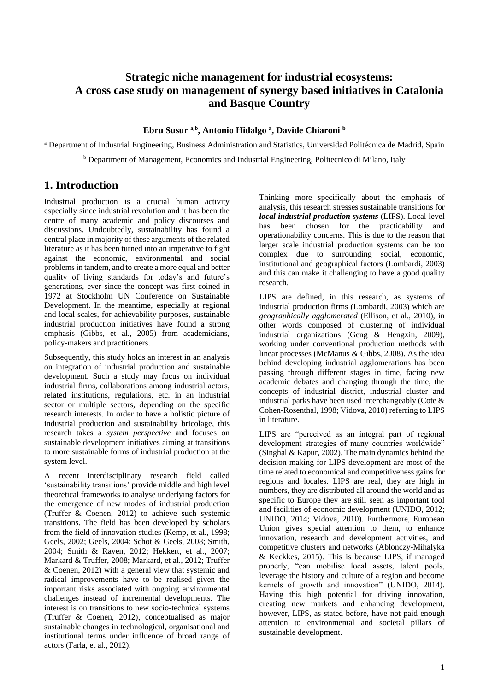# **Strategic niche management for industrial ecosystems: A cross case study on management of synergy based initiatives in Catalonia and Basque Country**

#### **Ebru Susur a,b, Antonio Hidalgo <sup>a</sup> , Davide Chiaroni <sup>b</sup>**

<sup>a</sup> Department of Industrial Engineering, Business Administration and Statistics, Universidad Politécnica de Madrid, Spain <sup>b</sup> Department of Management, Economics and Industrial Engineering, Politecnico di Milano, Italy

## **1. Introduction**

Industrial production is a crucial human activity especially since industrial revolution and it has been the centre of many academic and policy discourses and discussions. Undoubtedly, sustainability has found a central place in majority of these arguments of the related literature as it has been turned into an imperative to fight against the economic, environmental and social problems in tandem, and to create a more equal and better quality of living standards for today's and future's generations, ever since the concept was first coined in 1972 at Stockholm UN Conference on Sustainable Development. In the meantime, especially at regional and local scales, for achievability purposes, sustainable industrial production initiatives have found a strong emphasis (Gibbs, et al., 2005) from academicians, policy-makers and practitioners.

Subsequently, this study holds an interest in an analysis on integration of industrial production and sustainable development. Such a study may focus on individual industrial firms, collaborations among industrial actors, related institutions, regulations, etc. in an industrial sector or multiple sectors, depending on the specific research interests. In order to have a holistic picture of industrial production and sustainability bricolage, this research takes a *system perspective* and focuses on sustainable development initiatives aiming at transitions to more sustainable forms of industrial production at the system level.

A recent interdisciplinary research field called 'sustainability transitions' provide middle and high level theoretical frameworks to analyse underlying factors for the emergence of new modes of industrial production (Truffer & Coenen, 2012) to achieve such systemic transitions. The field has been developed by scholars from the field of innovation studies (Kemp, et al., 1998; Geels, 2002; Geels, 2004; Schot & Geels, 2008; Smith, 2004; Smith & Raven, 2012; Hekkert, et al., 2007; Markard & Truffer, 2008; Markard, et al., 2012; Truffer & Coenen, 2012) with a general view that systemic and radical improvements have to be realised given the important risks associated with ongoing environmental challenges instead of incremental developments. The interest is on transitions to new socio-technical systems (Truffer & Coenen, 2012), conceptualised as major sustainable changes in technological, organisational and institutional terms under influence of broad range of actors (Farla, et al., 2012).

Thinking more specifically about the emphasis of analysis, this research stresses sustainable transitions for *local industrial production systems* (LIPS). Local level has been chosen for the practicability and operationability concerns. This is due to the reason that larger scale industrial production systems can be too complex due to surrounding social, economic, institutional and geographical factors (Lombardi, 2003) and this can make it challenging to have a good quality research.

LIPS are defined, in this research, as systems of industrial production firms (Lombardi, 2003) which are *geographically agglomerated* (Ellison, et al., 2010), in other words composed of clustering of individual industrial organizations (Geng & Hengxin, 2009), working under conventional production methods with linear processes (McManus & Gibbs, 2008). As the idea behind developing industrial agglomerations has been passing through different stages in time, facing new academic debates and changing through the time, the concepts of industrial district, industrial cluster and industrial parks have been used interchangeably (Cote & Cohen-Rosenthal, 1998; Vidova, 2010) referring to LIPS in literature.

LIPS are "perceived as an integral part of regional development strategies of many countries worldwide" (Singhal & Kapur, 2002). The main dynamics behind the decision-making for LIPS development are most of the time related to economical and competitiveness gains for regions and locales. LIPS are real, they are high in numbers, they are distributed all around the world and as specific to Europe they are still seen as important tool and facilities of economic development (UNIDO, 2012; UNIDO, 2014; Vidova, 2010). Furthermore, European Union gives special attention to them, to enhance innovation, research and development activities, and competitive clusters and networks (Ablonczy-Mihalyka & Keckkes, 2015). This is because LIPS, if managed properly, "can mobilise local assets, talent pools, leverage the history and culture of a region and become kernels of growth and innovation" (UNIDO, 2014). Having this high potential for driving innovation, creating new markets and enhancing development, however, LIPS, as stated before, have not paid enough attention to environmental and societal pillars of sustainable development.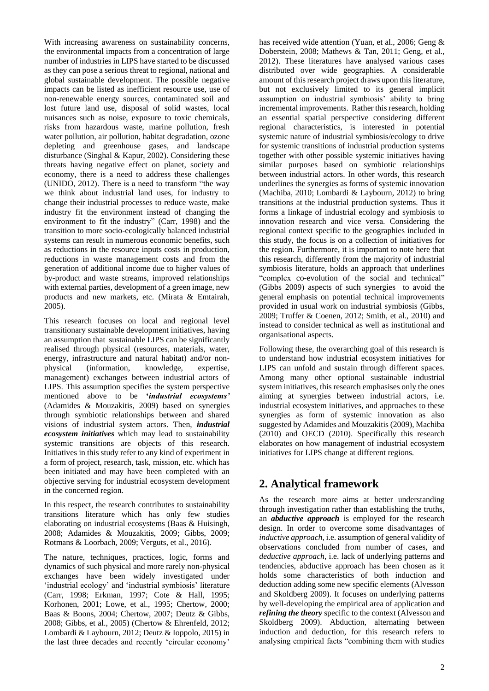With increasing awareness on sustainability concerns, the environmental impacts from a concentration of large number of industries in LIPS have started to be discussed as they can pose a serious threat to regional, national and global sustainable development. The possible negative impacts can be listed as inefficient resource use, use of non-renewable energy sources, contaminated soil and lost future land use, disposal of solid wastes, local nuisances such as noise, exposure to toxic chemicals, risks from hazardous waste, marine pollution, fresh water pollution, air pollution, habitat degradation, ozone depleting and greenhouse gases, and landscape disturbance (Singhal & Kapur, 2002). Considering these threats having negative effect on planet, society and economy, there is a need to address these challenges (UNIDO, 2012). There is a need to transform "the way we think about industrial land uses, for industry to change their industrial processes to reduce waste, make industry fit the environment instead of changing the environment to fit the industry" (Carr, 1998) and the transition to more socio-ecologically balanced industrial systems can result in numerous economic benefits, such as reductions in the resource inputs costs in production, reductions in waste management costs and from the generation of additional income due to higher values of by-product and waste streams, improved relationships with external parties, development of a green image, new products and new markets, etc. (Mirata & Emtairah, 2005).

This research focuses on local and regional level transitionary sustainable development initiatives, having an assumption that sustainable LIPS can be significantly realised through physical (resources, materials, water, energy, infrastructure and natural habitat) and/or nonphysical (information, knowledge, expertise, management) exchanges between industrial actors of LIPS. This assumption specifies the system perspective mentioned above to be **'***industrial ecosystems'* (Adamides & Mouzakitis, 2009) based on synergies through symbiotic relationships between and shared visions of industrial system actors. Then, *industrial ecosystem initiatives* which may lead to sustainability systemic transitions are objects of this research. Initiatives in this study refer to any kind of experiment in a form of project, research, task, mission, etc. which has been initiated and may have been completed with an objective serving for industrial ecosystem development in the concerned region.

In this respect, the research contributes to sustainability transitions literature which has only few studies elaborating on industrial ecosystems (Baas & Huisingh, 2008; Adamides & Mouzakitis, 2009; Gibbs, 2009; Rotmans & Loorbach, 2009; Verguts, et al., 2016).

The nature, techniques, practices, logic, forms and dynamics of such physical and more rarely non-physical exchanges have been widely investigated under 'industrial ecology' and 'industrial symbiosis' literature (Carr, 1998; Erkman, 1997; Cote & Hall, 1995; Korhonen, 2001; Lowe, et al., 1995; Chertow, 2000; Baas & Boons, 2004; Chertow, 2007; Deutz & Gibbs, 2008; Gibbs, et al., 2005) (Chertow & Ehrenfeld, 2012; Lombardi & Laybourn, 2012; Deutz & Ioppolo, 2015) in the last three decades and recently 'circular economy'

has received wide attention (Yuan, et al., 2006; Geng & Doberstein, 2008; Mathews & Tan, 2011; Geng, et al., 2012). These literatures have analysed various cases distributed over wide geographies. A considerable amount of this research project draws upon this literature, but not exclusively limited to its general implicit assumption on industrial symbiosis' ability to bring incremental improvements. Rather this research, holding an essential spatial perspective considering different regional characteristics, is interested in potential systemic nature of industrial symbiosis/ecology to drive for systemic transitions of industrial production systems together with other possible systemic initiatives having similar purposes based on symbiotic relationships between industrial actors. In other words, this research underlines the synergies as forms of systemic innovation (Machiba, 2010; Lombardi & Laybourn, 2012) to bring transitions at the industrial production systems. Thus it forms a linkage of industrial ecology and symbiosis to innovation research and vice versa. Considering the regional context specific to the geographies included in this study, the focus is on a collection of initiatives for the region. Furthermore, it is important to note here that this research, differently from the majority of industrial symbiosis literature, holds an approach that underlines "complex co-evolution of the social and technical" (Gibbs 2009) aspects of such synergies to avoid the general emphasis on potential technical improvements provided in usual work on industrial symbiosis (Gibbs, 2009; Truffer & Coenen, 2012; Smith, et al., 2010) and instead to consider technical as well as institutional and organisational aspects.

Following these, the overarching goal of this research is to understand how industrial ecosystem initiatives for LIPS can unfold and sustain through different spaces. Among many other optional sustainable industrial system initiatives, this research emphasises only the ones aiming at synergies between industrial actors, i.e. industrial ecosystem initiatives, and approaches to these synergies as form of systemic innovation as also suggested by Adamides and Mouzakitis (2009), Machiba (2010) and OECD (2010). Specifically this research elaborates on how management of industrial ecosystem initiatives for LIPS change at different regions.

## **2. Analytical framework**

As the research more aims at better understanding through investigation rather than establishing the truths, an *abductive approach* is employed for the research design. In order to overcome some disadvantages of *inductive approach*, i.e. assumption of general validity of observations concluded from number of cases, and *deductive approach*, i.e. lack of underlying patterns and tendencies, abductive approach has been chosen as it holds some characteristics of both induction and deduction adding some new specific elements (Alvesson and Skoldberg 2009). It focuses on underlying patterns by well-developing the empirical area of application and *refining the theory* specific to the context (Alvesson and Skoldberg 2009). Abduction, alternating between induction and deduction, for this research refers to analysing empirical facts "combining them with studies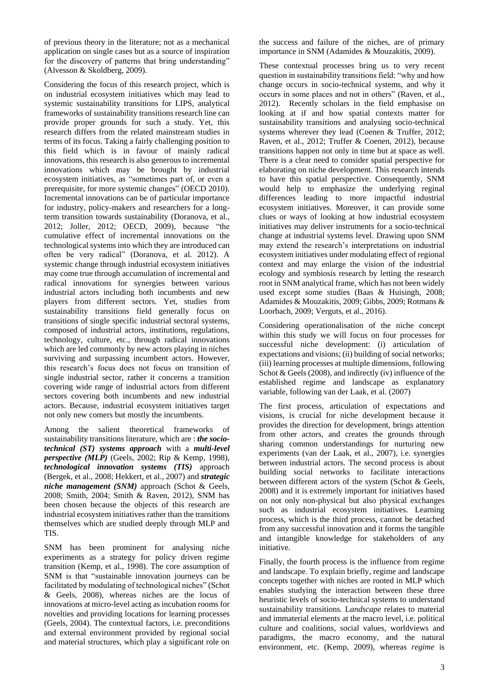of previous theory in the literature; not as a mechanical application on single cases but as a source of inspiration for the discovery of patterns that bring understanding" (Alvesson & Skoldberg, 2009).

Considering the focus of this research project, which is on industrial ecosystem initiatives which may lead to systemic sustainability transitions for LIPS, analytical frameworks of sustainability transitions research line can provide proper grounds for such a study. Yet, this research differs from the related mainstream studies in terms of its focus. Taking a fairly challenging position to this field which is in favour of mainly radical innovations, this research is also generous to incremental innovations which may be brought by industrial ecosystem initiatives, as "sometimes part of, or even a prerequisite, for more systemic changes" (OECD 2010). Incremental innovations can be of particular importance for industry, policy-makers and researchers for a longterm transition towards sustainability (Doranova, et al., 2012; Joller, 2012; OECD, 2009), because "the cumulative effect of incremental innovations on the technological systems into which they are introduced can often be very radical" (Doranova, et al. 2012). A systemic change through industrial ecosystem initiatives may come true through accumulation of incremental and radical innovations for synergies between various industrial actors including both incumbents and new players from different sectors. Yet, studies from sustainability transitions field generally focus on transitions of single specific industrial sectoral systems, composed of industrial actors, institutions, regulations, technology, culture, etc., through radical innovations which are led commonly by new actors playing in niches surviving and surpassing incumbent actors. However, this research's focus does not focus on transition of single industrial sector, rather it concerns a transition covering wide range of industrial actors from different sectors covering both incumbents and new industrial actors. Because, industrial ecosystem initiatives target not only new comers but mostly the incumbents.

Among the salient theoretical frameworks of sustainability transitions literature, which are : *the sociotechnical (ST) systems approach* with a *multi-level perspective (MLP)* (Geels, 2002; Rip & Kemp, 1998), *technological innovation systems (TIS)* approach (Bergek, et al., 2008; Hekkert, et al., 2007) and *strategic niche management (SNM)* approach (Schot & Geels, 2008; Smith, 2004; Smith & Raven, 2012), SNM has been chosen because the objects of this research are industrial ecosystem initiatives rather than the transitions themselves which are studied deeply through MLP and TIS.

SNM has been prominent for analysing niche experiments as a strategy for policy driven regime transition (Kemp, et al., 1998). The core assumption of SNM is that "sustainable innovation journeys can be facilitated by modulating of technological niches" (Schot & Geels, 2008), whereas niches are the locus of innovations at micro-level acting as incubation rooms for novelties and providing locations for learning processes (Geels, 2004). The contextual factors, i.e. preconditions and external environment provided by regional social and material structures, which play a significant role on

the success and failure of the niches, are of primary importance in SNM (Adamides & Mouzakitis, 2009).

These contextual processes bring us to very recent question in sustainability transitions field: "why and how change occurs in socio-technical systems, and why it occurs in some places and not in others" (Raven, et al., 2012). Recently scholars in the field emphasise on looking at if and how spatial contexts matter for sustainability transitions and analysing socio-technical systems wherever they lead (Coenen & Truffer, 2012; Raven, et al., 2012; Truffer & Coenen, 2012), because transitions happen not only in time but at space as well. There is a clear need to consider spatial perspective for elaborating on niche development. This research intends to have this spatial perspective. Consequently, SNM would help to emphasize the underlying reginal differences leading to more impactful industrial ecosystem initiatives. Moreover, it can provide some clues or ways of looking at how industrial ecosystem initiatives may deliver instruments for a socio-technical change at industrial systems level. Drawing upon SNM may extend the research's interpretations on industrial ecosystem initiatives under modulating effect of regional context and may enlarge the vision of the industrial ecology and symbiosis research by letting the research root in SNM analytical frame, which has not been widely used except some studies (Baas & Huisingh, 2008; Adamides & Mouzakitis, 2009; Gibbs, 2009; Rotmans & Loorbach, 2009; Verguts, et al., 2016).

Considering operationalisation of the niche concept within this study we will focus on four processes for successful niche development: (i) articulation of expectations and visions; (ii) building of social networks; (iii) learning processes at multiple dimensions, following Schot & Geels (2008), and indirectly (iv) influence of the established regime and landscape as explanatory variable, following van der Laak, et al. (2007)

The first process, articulation of expectations and visions, is crucial for niche development because it provides the direction for development, brings attention from other actors, and creates the grounds through sharing common understandings for nurturing new experiments (van der Laak, et al., 2007), i.e. synergies between industrial actors. The second process is about building social networks to facilitate interactions between different actors of the system (Schot & Geels, 2008) and it is extremely important for initiatives based on not only non-physical but also physical exchanges such as industrial ecosystem initiatives. Learning process, which is the third process, cannot be detached from any successful innovation and it forms the tangible and intangible knowledge for stakeholders of any initiative.

Finally, the fourth process is the influence from regime and landscape. To explain briefly, regime and landscape concepts together with niches are rooted in MLP which enables studying the interaction between these three heuristic levels of socio-technical systems to understand sustainability transitions. L*andscape* relates to material and immaterial elements at the macro level, i.e. political culture and coalitions, social values, worldviews and paradigms, the macro economy, and the natural environment, etc. (Kemp, 2009), whereas *regime* is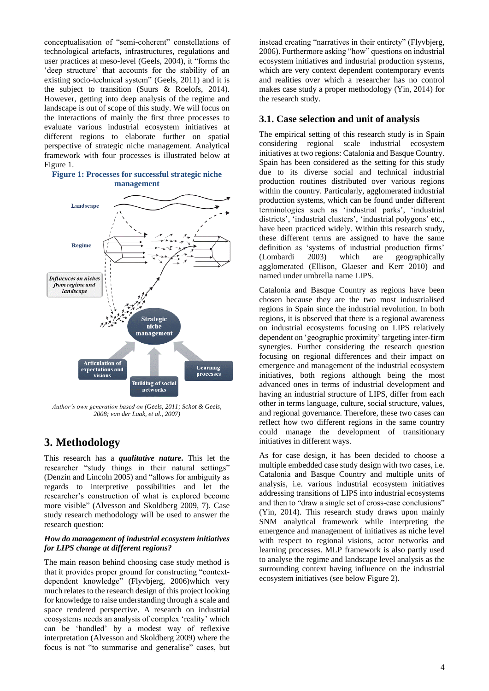conceptualisation of "semi-coherent" constellations of technological artefacts, infrastructures, regulations and user practices at meso-level (Geels, 2004), it "forms the 'deep structure' that accounts for the stability of an existing socio-technical system" (Geels, 2011) and it is the subject to transition (Suurs & Roelofs, 2014). However, getting into deep analysis of the regime and landscape is out of scope of this study. We will focus on the interactions of mainly the first three processes to evaluate various industrial ecosystem initiatives at different regions to elaborate further on spatial perspective of strategic niche management. Analytical framework with four processes is illustrated below at [Figure 1.](#page-3-0)

#### <span id="page-3-0"></span>**Figure 1: Processes for successful strategic niche management**



*Author's own generation based on (Geels, 2011; Schot & Geels, 2008; van der Laak, et al., 2007)*

# **3. Methodology**

This research has a *qualitative nature***.** This let the researcher "study things in their natural settings" (Denzin and Lincoln 2005) and "allows for ambiguity as regards to interpretive possibilities and let the researcher's construction of what is explored become more visible" (Alvesson and Skoldberg 2009, 7). Case study research methodology will be used to answer the research question:

#### *How do management of industrial ecosystem initiatives for LIPS change at different regions?*

The main reason behind choosing case study method is that it provides proper ground for constructing "contextdependent knowledge" (Flyvbjerg, 2006)which very much relates to the research design of this project looking for knowledge to raise understanding through a scale and space rendered perspective. A research on industrial ecosystems needs an analysis of complex 'reality' which can be 'handled' by a modest way of reflexive interpretation (Alvesson and Skoldberg 2009) where the focus is not "to summarise and generalise" cases, but instead creating "narratives in their entirety" (Flyvbjerg, 2006). Furthermore asking "how" questions on industrial ecosystem initiatives and industrial production systems, which are very context dependent contemporary events and realities over which a researcher has no control makes case study a proper methodology (Yin, 2014) for the research study.

### **3.1. Case selection and unit of analysis**

The empirical setting of this research study is in Spain considering regional scale industrial ecosystem initiatives at two regions: Catalonia and Basque Country. Spain has been considered as the setting for this study due to its diverse social and technical industrial production routines distributed over various regions within the country. Particularly, agglomerated industrial production systems, which can be found under different terminologies such as 'industrial parks', 'industrial districts', 'industrial clusters', 'industrial polygons' etc., have been practiced widely. Within this research study, these different terms are assigned to have the same definition as 'systems of industrial production firms' (Lombardi 2003) which are geographically agglomerated (Ellison, Glaeser and Kerr 2010) and named under umbrella name LIPS.

Catalonia and Basque Country as regions have been chosen because they are the two most industrialised regions in Spain since the industrial revolution. In both regions, it is observed that there is a regional awareness on industrial ecosystems focusing on LIPS relatively dependent on 'geographic proximity' targeting inter-firm synergies. Further considering the research question focusing on regional differences and their impact on emergence and management of the industrial ecosystem initiatives, both regions although being the most advanced ones in terms of industrial development and having an industrial structure of LIPS, differ from each other in terms language, culture, social structure, values, and regional governance. Therefore, these two cases can reflect how two different regions in the same country could manage the development of transitionary initiatives in different ways.

As for case design, it has been decided to choose a multiple embedded case study design with two cases, i.e. Catalonia and Basque Country and multiple units of analysis, i.e. various industrial ecosystem initiatives addressing transitions of LIPS into industrial ecosystems and then to "draw a single set of cross-case conclusions" (Yin, 2014). This research study draws upon mainly SNM analytical framework while interpreting the emergence and management of initiatives as niche level with respect to regional visions, actor networks and learning processes. MLP framework is also partly used to analyse the regime and landscape level analysis as the surrounding context having influence on the industrial ecosystem initiatives (see below [Figure 2\)](#page-4-0).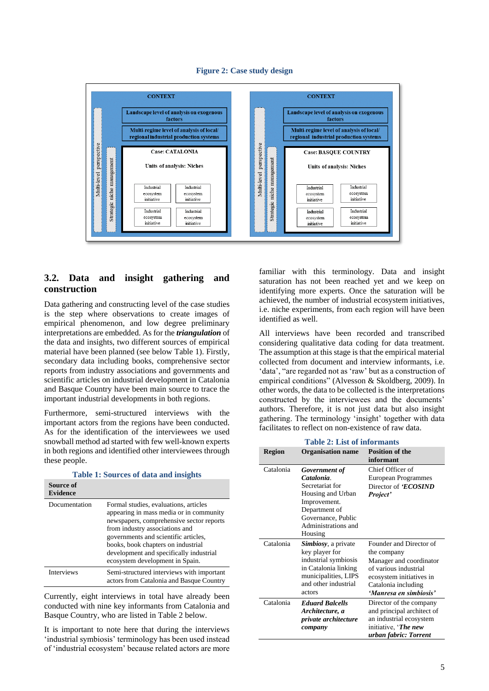<span id="page-4-0"></span>

#### **Figure 2: Case study design**

### **3.2. Data and insight gathering and construction**

Data gathering and constructing level of the case studies is the step where observations to create images of empirical phenomenon, and low degree preliminary interpretations are embedded. As for the *triangulation* of the data and insights, two different sources of empirical material have been planned (see below [Table 1\)](#page-4-1). Firstly, secondary data including books, comprehensive sector reports from industry associations and governments and scientific articles on industrial development in Catalonia and Basque Country have been main source to trace the important industrial developments in both regions.

Furthermore, semi-structured interviews with the important actors from the regions have been conducted. As for the identification of the interviewees we used snowball method ad started with few well-known experts in both regions and identified other interviewees through these people.

<span id="page-4-1"></span>

| Table 1. Bourtes of data and morgins |                                                                                                                                                                                                                                                                                                                            |  |  |
|--------------------------------------|----------------------------------------------------------------------------------------------------------------------------------------------------------------------------------------------------------------------------------------------------------------------------------------------------------------------------|--|--|
| Source of<br><b>Evidence</b>         |                                                                                                                                                                                                                                                                                                                            |  |  |
| Documentation                        | Formal studies, evaluations, articles<br>appearing in mass media or in community<br>newspapers, comprehensive sector reports<br>from industry associations and<br>governments and scientific articles,<br>books, book chapters on industrial<br>development and specifically industrial<br>ecosystem development in Spain. |  |  |
| Interviews                           | Semi-structured interviews with important<br>actors from Catalonia and Basque Country                                                                                                                                                                                                                                      |  |  |

**Table 1: Sources of data and insights**

Currently, eight interviews in total have already been conducted with nine key informants from Catalonia and Basque Country, who are listed in [Table 2](#page-4-2) below.

It is important to note here that during the interviews 'industrial symbiosis' terminology has been used instead of 'industrial ecosystem' because related actors are more familiar with this terminology. Data and insight saturation has not been reached yet and we keep on identifying more experts. Once the saturation will be achieved, the number of industrial ecosystem initiatives, i.e. niche experiments, from each region will have been identified as well.

All interviews have been recorded and transcribed considering qualitative data coding for data treatment. The assumption at this stage is that the empirical material collected from document and interview informants, i.e. 'data', "are regarded not as 'raw' but as a construction of empirical conditions" (Alvesson & Skoldberg, 2009). In other words, the data to be collected is the interpretations constructed by the interviewees and the documents' authors. Therefore, it is not just data but also insight gathering. The terminology 'insight' together with data facilitates to reflect on non-existence of raw data.

<span id="page-4-2"></span>

| <b>Table 2: List of informants</b> |                                                                                                                                                             |                                                                                                                                                                         |  |
|------------------------------------|-------------------------------------------------------------------------------------------------------------------------------------------------------------|-------------------------------------------------------------------------------------------------------------------------------------------------------------------------|--|
| <b>Region</b>                      | <b>Organisation name</b>                                                                                                                                    | <b>Position of the</b><br>informant                                                                                                                                     |  |
| Catalonia                          | Government of<br>Catalonia<br>Secretariat for<br>Housing and Urban<br>Improvement.<br>Department of<br>Governance, Public<br>Administrations and<br>Housing | Chief Officer of<br>European Programmes<br>Director of <i>ECOSIND</i><br>Project'                                                                                       |  |
| Catalonia                          | <b>Simbiosy</b> , a private<br>key player for<br>industrial symbiosis<br>in Catalonia linking<br>municipalities, LIPS<br>and other industrial<br>actors     | Founder and Director of<br>the company<br>Manager and coordinator<br>of various industrial<br>ecosystem initiatives in<br>Catalonia including<br>'Manresa en simbiosis' |  |
| Catalonia                          | <b>Eduard Balcells</b><br>Architecture, a<br><i>private architecture</i><br>company                                                                         | Director of the company<br>and principal architect of<br>an industrial ecosystem<br>initiative, <i>The new</i><br>urban fabric: Torrent                                 |  |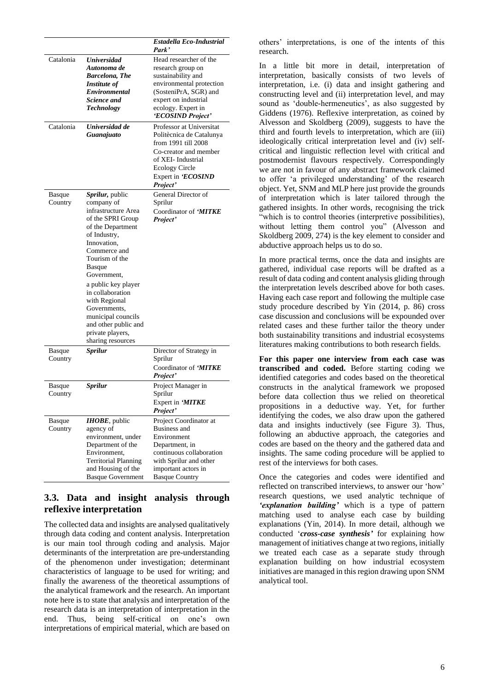|                          |                                                                                                                                                                                                                                                                                                                                                             | Estadella Eco-Industrial<br>Park'                                                                                                                                                           |
|--------------------------|-------------------------------------------------------------------------------------------------------------------------------------------------------------------------------------------------------------------------------------------------------------------------------------------------------------------------------------------------------------|---------------------------------------------------------------------------------------------------------------------------------------------------------------------------------------------|
| Catalonia                | <b>Universidad</b><br>Autonoma de<br><b>Barcelona, The</b><br>Institute of<br>Environmental<br>Science and<br>Technology                                                                                                                                                                                                                                    | Head researcher of the<br>research group on<br>sustainability and<br>environmental protection<br>(SosteniPrA, SGR) and<br>expert on industrial<br>ecology. Expert in<br>'ECOSIND Project'   |
| Catalonia                | Universidad de<br>Guanajuato                                                                                                                                                                                                                                                                                                                                | Professor at Universitat<br>Politècnica de Catalunya<br>from 1991 till 2008<br>Co-creator and member<br>of XEI-Industrial<br><b>Ecology Circle</b><br>Expert in <i>'ECOSIND</i><br>Project' |
| Basque<br>Country        | Sprilur, public<br>company of<br>infrastructure Area<br>of the SPRI Group<br>of the Department<br>of Industry,<br>Innovation,<br>Commerce and<br>Tourism of the<br>Basque<br>Government,<br>a public key player<br>in collaboration<br>with Regional<br>Governments,<br>municipal councils<br>and other public and<br>private players,<br>sharing resources | General Director of<br>Sprilur<br>Coordinator of ' <i>MITKE</i><br>Project'                                                                                                                 |
| Basque<br>Country        | Sprilur                                                                                                                                                                                                                                                                                                                                                     | Director of Strategy in<br>Sprilur<br>Coordinator of ' <i>MITKE</i><br>Project'                                                                                                             |
| Basque<br>Country        | <b>Sprilur</b>                                                                                                                                                                                                                                                                                                                                              | Project Manager in<br>Sprilur<br>Expert in 'MITKE<br>Project'                                                                                                                               |
| <b>Basque</b><br>Country | <b>IHOBE</b> , public<br>agency of<br>environment, under<br>Department of the<br>Environment,<br><b>Territorial Planning</b><br>and Housing of the<br><b>Basque Government</b>                                                                                                                                                                              | Project Coordinator at<br>Business and<br>Environment<br>Department, in<br>continuous collaboration<br>with Sprilur and other<br>important actors in<br><b>Basque Country</b>               |

### **3.3. Data and insight analysis through reflexive interpretation**

The collected data and insights are analysed qualitatively through data coding and content analysis. Interpretation is our main tool through coding and analysis. Major determinants of the interpretation are pre-understanding of the phenomenon under investigation; determinant characteristics of language to be used for writing; and finally the awareness of the theoretical assumptions of the analytical framework and the research. An important note here is to state that analysis and interpretation of the research data is an interpretation of interpretation in the end. Thus, being self-critical on one's own interpretations of empirical material, which are based on

others' interpretations, is one of the intents of this research.

In a little bit more in detail, interpretation of interpretation, basically consists of two levels of interpretation, i.e. (i) data and insight gathering and constructing level and (ii) interpretation level, and may sound as 'double-hermeneutics', as also suggested by Giddens (1976). Reflexive interpretation, as coined by Alvesson and Skoldberg (2009), suggests to have the third and fourth levels to interpretation, which are (iii) ideologically critical interpretation level and (iv) selfcritical and linguistic reflection level with critical and postmodernist flavours respectively. Correspondingly we are not in favour of any abstract framework claimed to offer 'a privileged understanding' of the research object. Yet, SNM and MLP here just provide the grounds of interpretation which is later tailored through the gathered insights. In other words, recognising the trick "which is to control theories (interpretive possibilities), without letting them control you" (Alvesson and Skoldberg 2009, 274) is the key element to consider and abductive approach helps us to do so.

In more practical terms, once the data and insights are gathered, individual case reports will be drafted as a result of data coding and content analysis gliding through the interpretation levels described above for both cases. Having each case report and following the multiple case study procedure described by Yin (2014, p. 86) cross case discussion and conclusions will be expounded over related cases and these further tailor the theory under both sustainability transitions and industrial ecosystems literatures making contributions to both research fields.

**For this paper one interview from each case was transcribed and coded.** Before starting coding we identified categories and codes based on the theoretical constructs in the analytical framework we proposed before data collection thus we relied on theoretical propositions in a deductive way. Yet, for further identifying the codes, we also draw upon the gathered data and insights inductively (see [Figure 3\)](#page-6-0). Thus, following an abductive approach, the categories and codes are based on the theory and the gathered data and insights. The same coding procedure will be applied to rest of the interviews for both cases.

Once the categories and codes were identified and reflected on transcribed interviews, to answer our 'how' research questions, we used analytic technique of *'explanation building'* which is a type of pattern matching used to analyse each case by building explanations (Yin, 2014). In more detail, although we conducted '*cross-case synthesis'* for explaining how management of initiatives change at two regions, initially we treated each case as a separate study through explanation building on how industrial ecosystem initiatives are managed in this region drawing upon SNM analytical tool.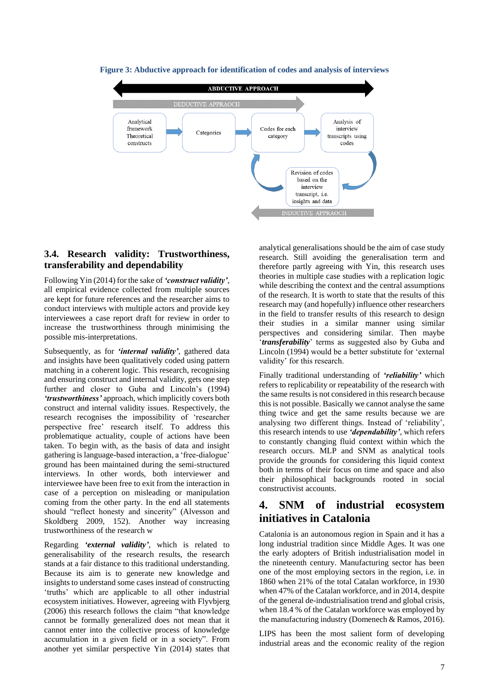

<span id="page-6-0"></span>**Figure 3: Abductive approach for identification of codes and analysis of interviews**

### **3.4. Research validity: Trustworthiness, transferability and dependability**

Following Yin (2014) for the sake of *'construct validity'*, all empirical evidence collected from multiple sources are kept for future references and the researcher aims to conduct interviews with multiple actors and provide key interviewees a case report draft for review in order to increase the trustworthiness through minimising the possible mis-interpretations.

Subsequently, as for *'internal validity'*, gathered data and insights have been qualitatively coded using pattern matching in a coherent logic. This research, recognising and ensuring construct and internal validity, gets one step further and closer to Guba and Lincoln's (1994) *'trustworthiness'* approach, which implicitly covers both construct and internal validity issues. Respectively, the research recognises the impossibility of 'researcher perspective free' research itself. To address this problematique actuality, couple of actions have been taken. To begin with, as the basis of data and insight gathering islanguage-based interaction, a 'free-dialogue' ground has been maintained during the semi-structured interviews. In other words, both interviewer and interviewee have been free to exit from the interaction in case of a perception on misleading or manipulation coming from the other party. In the end all statements should "reflect honesty and sincerity" (Alvesson and Skoldberg 2009, 152). Another way increasing trustworthiness of the research w

Regarding *'external validity'*, which is related to generalisability of the research results, the research stands at a fair distance to this traditional understanding. Because its aim is to generate new knowledge and insights to understand some cases instead of constructing 'truths' which are applicable to all other industrial ecosystem initiatives. However, agreeing with Flyvbjerg (2006) this research follows the claim "that knowledge cannot be formally generalized does not mean that it cannot enter into the collective process of knowledge accumulation in a given field or in a society". From another yet similar perspective Yin (2014) states that analytical generalisations should be the aim of case study research. Still avoiding the generalisation term and therefore partly agreeing with Yin, this research uses theories in multiple case studies with a replication logic while describing the context and the central assumptions of the research. It is worth to state that the results of this research may (and hopefully) influence other researchers in the field to transfer results of this research to design their studies in a similar manner using similar perspectives and considering similar. Then maybe '*transferability*' terms as suggested also by Guba and Lincoln (1994) would be a better substitute for 'external validity' for this research.

Finally traditional understanding of *'reliability'* which refers to replicability or repeatability of the research with the same results is not considered in this research because this is not possible. Basically we cannot analyse the same thing twice and get the same results because we are analysing two different things. Instead of 'reliability', this research intends to use *'dependability'*, which refers to constantly changing fluid context within which the research occurs. MLP and SNM as analytical tools provide the grounds for considering this liquid context both in terms of their focus on time and space and also their philosophical backgrounds rooted in social constructivist accounts.

## **4. SNM of industrial ecosystem initiatives in Catalonia**

Catalonia is an autonomous region in Spain and it has a long industrial tradition since Middle Ages. It was one the early adopters of British industrialisation model in the nineteenth century. Manufacturing sector has been one of the most employing sectors in the region, i.e. in 1860 when 21% of the total Catalan workforce, in 1930 when 47% of the Catalan workforce, and in 2014, despite of the general de-industrialisation trend and global crisis, when 18.4 % of the Catalan workforce was employed by the manufacturing industry (Domenech & Ramos, 2016).

LIPS has been the most salient form of developing industrial areas and the economic reality of the region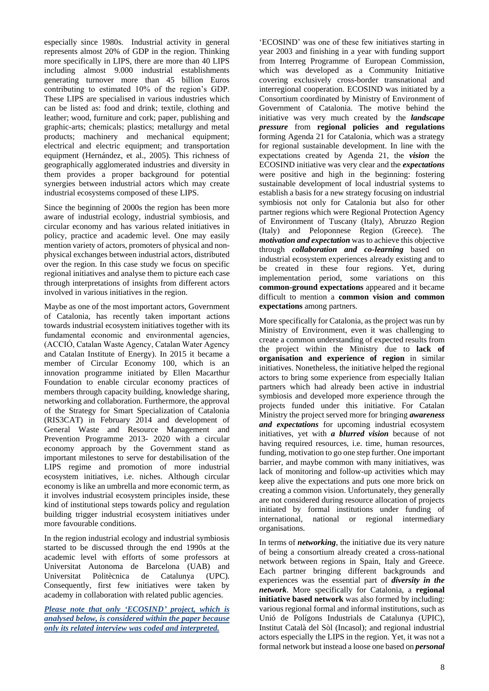especially since 1980s. Industrial activity in general represents almost 20% of GDP in the region. Thinking more specifically in LIPS, there are more than 40 LIPS including almost 9.000 industrial establishments generating turnover more than 45 billion Euros contributing to estimated 10% of the region's GDP. These LIPS are specialised in various industries which can be listed as: food and drink; textile, clothing and leather; wood, furniture and cork; paper, publishing and graphic-arts; chemicals; plastics; metallurgy and metal products; machinery and mechanical equipment; electrical and electric equipment; and transportation equipment (Hernández, et al., 2005). This richness of geographically agglomerated industries and diversity in them provides a proper background for potential synergies between industrial actors which may create industrial ecosystems composed of these LIPS.

Since the beginning of 2000s the region has been more aware of industrial ecology, industrial symbiosis, and circular economy and has various related initiatives in policy, practice and academic level. One may easily mention variety of actors, promoters of physical and nonphysical exchanges between industrial actors, distributed over the region. In this case study we focus on specific regional initiatives and analyse them to picture each case through interpretations of insights from different actors involved in various initiatives in the region.

Maybe as one of the most important actors, Government of Catalonia, has recently taken important actions towards industrial ecosystem initiatives together with its fundamental economic and environmental agencies, (ACCIÓ, Catalan Waste Agency, Catalan Water Agency and Catalan Institute of Energy). In 2015 it became a member of Circular Economy 100, which is an innovation programme initiated by Ellen Macarthur Foundation to enable circular economy practices of members through capacity building, knowledge sharing, networking and collaboration. Furthermore, the approval of the Strategy for Smart Specialization of Catalonia (RIS3CAT) in February 2014 and development of General Waste and Resource Management and Prevention Programme 2013- 2020 with a circular economy approach by the Government stand as important milestones to serve for destabilisation of the LIPS regime and promotion of more industrial ecosystem initiatives, i.e. niches. Although circular economy is like an umbrella and more economic term, as it involves industrial ecosystem principles inside, these kind of institutional steps towards policy and regulation building trigger industrial ecosystem initiatives under more favourable conditions.

In the region industrial ecology and industrial symbiosis started to be discussed through the end 1990s at the academic level with efforts of some professors at Universitat Autonoma de Barcelona (UAB) and Universitat Politècnica de Catalunya (UPC). Consequently, first few initiatives were taken by academy in collaboration with related public agencies.

*Please note that only 'ECOSIND' project, which is analysed below, is considered within the paper because only its related interview was coded and interpreted.*

'ECOSIND' was one of these few initiatives starting in year 2003 and finishing in a year with funding support from Interreg Programme of European Commission, which was developed as a Community Initiative covering exclusively cross-border transnational and interregional cooperation. ECOSIND was initiated by a Consortium coordinated by Ministry of Environment of Government of Catalonia. The motive behind the initiative was very much created by the *landscape pressure* from **regional policies and regulations** forming Agenda 21 for Catalonia, which was a strategy for regional sustainable development. In line with the expectations created by Agenda 21, the *vision* the ECOSIND initiative was very clear and the *expectations* were positive and high in the beginning: fostering sustainable development of local industrial systems to establish a basis for a new strategy focusing on industrial symbiosis not only for Catalonia but also for other partner regions which were Regional Protection Agency of Environment of Tuscany (Italy), Abruzzo Region (Italy) and Peloponnese Region (Greece). The *motivation and expectation* was to achieve this objective through *collaboration and co-learning* based on industrial ecosystem experiences already existing and to be created in these four regions. Yet, during implementation period, some variations on this **common-ground expectations** appeared and it became difficult to mention a **common vision and common expectations** among partners.

More specifically for Catalonia, as the project was run by Ministry of Environment, even it was challenging to create a common understanding of expected results from the project within the Ministry due to **lack of organisation and experience of region** in similar initiatives. Nonetheless, the initiative helped the regional actors to bring some experience from especially Italian partners which had already been active in industrial symbiosis and developed more experience through the projects funded under this initiative. For Catalan Ministry the project served more for bringing *awareness and expectations* for upcoming industrial ecosystem initiatives, yet with *a blurred vision* because of not having required resources, i.e. time, human resources, funding, motivation to go one step further. One important barrier, and maybe common with many initiatives, was lack of monitoring and follow-up activities which may keep alive the expectations and puts one more brick on creating a common vision. Unfortunately, they generally are not considered during resource allocation of projects initiated by formal institutions under funding of international, national or regional intermediary organisations.

In terms of *networking*, the initiative due its very nature of being a consortium already created a cross-national network between regions in Spain, Italy and Greece. Each partner bringing different backgrounds and experiences was the essential part of *diversity in the network*. More specifically for Catalonia, a **regional initiative based network** was also formed by including: various regional formal and informal institutions, such as Unió de Polígons Industrials de Catalunya (UPIC), Institut Català del Sòl (Incasol); and regional industrial actors especially the LIPS in the region. Yet, it was not a formal network but instead a loose one based on *personal*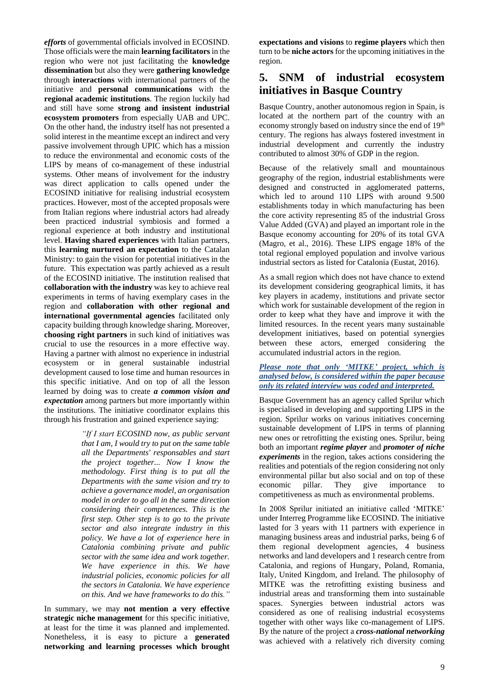*efforts* of governmental officials involved in ECOSIND. Those officials were the main **learning facilitators** in the region who were not just facilitating the **knowledge dissemination** but also they were **gathering knowledge** through **interactions** with international partners of the initiative and **personal communications** with the **regional academic institutions**. The region luckily had and still have some **strong and insistent industrial ecosystem promoters** from especially UAB and UPC. On the other hand, the industry itself has not presented a solid interest in the meantime except an indirect and very passive involvement through UPIC which has a mission to reduce the environmental and economic costs of the LIPS by means of co-management of these industrial systems. Other means of involvement for the industry was direct application to calls opened under the ECOSIND initiative for realising industrial ecosystem practices. However, most of the accepted proposals were from Italian regions where industrial actors had already been practiced industrial symbiosis and formed a regional experience at both industry and institutional level. **Having shared experiences** with Italian partners, this **learning nurtured an expectation** to the Catalan Ministry: to gain the vision for potential initiatives in the future. This expectation was partly achieved as a result of the ECOSIND initiative. The institution realised that **collaboration with the industry** was key to achieve real experiments in terms of having exemplary cases in the region and **collaboration with other regional and international governmental agencies** facilitated only capacity building through knowledge sharing. Moreover, **choosing right partners** in such kind of initiatives was crucial to use the resources in a more effective way. Having a partner with almost no experience in industrial ecosystem or in general sustainable industrial development caused to lose time and human resources in this specific initiative. And on top of all the lesson learned by doing was to create *a common vision and expectation* among partners but more importantly within the institutions. The initiative coordinator explains this through his frustration and gained experience saying:

> *"If I start ECOSIND now, as public servant that I am, I would try to put on the same table all the Departments' responsables and start the project together... Now I know the methodology. First thing is to put all the Departments with the same vision and try to achieve a governance model, an organisation model in order to go all in the same direction considering their competences. This is the first step. Other step is to go to the private sector and also integrate industry in this policy. We have a lot of experience here in Catalonia combining private and public sector with the same idea and work together. We have experience in this. We have industrial policies, economic policies for all the sectors in Catalonia. We have experience on this. And we have frameworks to do this."*

In summary, we may **not mention a very effective strategic niche management** for this specific initiative, at least for the time it was planned and implemented. Nonetheless, it is easy to picture a **generated networking and learning processes which brought** 

**expectations and visions** to **regime players** which then turn to be **niche actors** for the upcoming initiatives in the region.

## **5. SNM of industrial ecosystem initiatives in Basque Country**

Basque Country, another autonomous region in Spain, is located at the northern part of the country with an economy strongly based on industry since the end of 19<sup>th</sup> century. The regions has always fostered investment in industrial development and currently the industry contributed to almost 30% of GDP in the region.

Because of the relatively small and mountainous geography of the region, industrial establishments were designed and constructed in agglomerated patterns, which led to around 110 LIPS with around 9.500 establishments today in which manufacturing has been the core activity representing 85 of the industrial Gross Value Added (GVA) and played an important role in the Basque economy accounting for 20% of its total GVA (Magro, et al., 2016). These LIPS engage 18% of the total regional employed population and involve various industrial sectors as listed for Catalonia (Eustat, 2016).

As a small region which does not have chance to extend its development considering geographical limits, it has key players in academy, institutions and private sector which work for sustainable development of the region in order to keep what they have and improve it with the limited resources. In the recent years many sustainable development initiatives, based on potential synergies between these actors, emerged considering the accumulated industrial actors in the region.

#### *Please note that only 'MITKE' project, which is analysed below, is considered within the paper because only its related interview was coded and interpreted.*

Basque Government has an agency called Sprilur which is specialised in developing and supporting LIPS in the region. Sprilur works on various initiatives concerning sustainable development of LIPS in terms of planning new ones or retrofitting the existing ones. Sprilur, being both an important *regime player* and *promoter of niche experiments* in the region, takes actions considering the realities and potentials of the region considering not only environmental pillar but also social and on top of these economic pillar. They give importance competitiveness as much as environmental problems.

In 2008 Sprilur initiated an initiative called 'MITKE' under Interreg Programme like ECOSIND. The initiative lasted for 3 years with 11 partners with experience in managing business areas and industrial parks, being 6 of them regional development agencies, 4 business networks and land developers and 1 research centre from Catalonia, and regions of Hungary, Poland, Romania, Italy, United Kingdom, and Ireland. The philosophy of MITKE was the retrofitting existing business and industrial areas and transforming them into sustainable spaces. Synergies between industrial actors was considered as one of realising industrial ecosystems together with other ways like co-management of LIPS. By the nature of the project a *cross-national networking* was achieved with a relatively rich diversity coming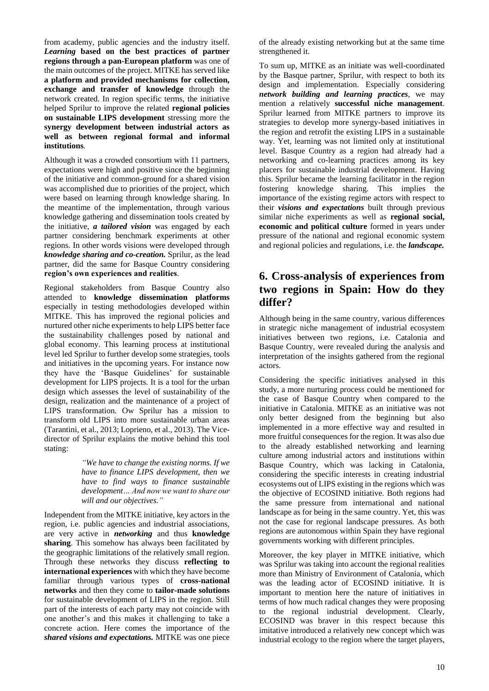from academy, public agencies and the industry itself. *Learning* **based on the best practices of partner regions through a pan-European platform** was one of the main outcomes of the project. MITKE has served like **a platform and provided mechanisms for collection, exchange and transfer of knowledge** through the network created. In region specific terms, the initiative helped Sprilur to improve the related **regional policies on sustainable LIPS development** stressing more the **synergy development between industrial actors as well as between regional formal and informal institutions**.

Although it was a crowded consortium with 11 partners, expectations were high and positive since the beginning of the initiative and common-ground for a shared vision was accomplished due to priorities of the project, which were based on learning through knowledge sharing. In the meantime of the implementation, through various knowledge gathering and dissemination tools created by the initiative, *a tailored vision* was engaged by each partner considering benchmark experiments at other regions. In other words visions were developed through *knowledge sharing and co-creation.* Sprilur, as the lead partner, did the same for Basque Country considering **region's own experiences and realities**.

Regional stakeholders from Basque Country also attended to **knowledge dissemination platforms** especially in testing methodologies developed within MITKE. This has improved the regional policies and nurtured other niche experiments to help LIPS better face the sustainability challenges posed by national and global economy. This learning process at institutional level led Sprilur to further develop some strategies, tools and initiatives in the upcoming years. For instance now they have the 'Basque Guidelines' for sustainable development for LIPS projects. It is a tool for the urban design which assesses the level of sustainability of the design, realization and the maintenance of a project of LIPS transformation. Ow Sprilur has a mission to transform old LIPS into more sustainable urban areas (Tarantini, et al., 2013; Loprieno, et al., 2013). The Vicedirector of Sprilur explains the motive behind this tool stating:

> *"We have to change the existing norms. If we have to finance LIPS development, then we have to find ways to finance sustainable development… And now we want to share our will and our objectives."*

Independent from the MITKE initiative, key actors in the region, i.e. public agencies and industrial associations, are very active in *networking* and thus **knowledge sharing**. This somehow has always been facilitated by the geographic limitations of the relatively small region. Through these networks they discuss **reflecting to international experiences** with which they have become familiar through various types of **cross-national networks** and then they come to **tailor-made solutions** for sustainable development of LIPS in the region. Still part of the interests of each party may not coincide with one another's and this makes it challenging to take a concrete action. Here comes the importance of the *shared visions and expectations.* MITKE was one piece

of the already existing networking but at the same time strengthened it.

To sum up, MITKE as an initiate was well-coordinated by the Basque partner, Sprilur, with respect to both its design and implementation. Especially considering *network building and learning practices*, we may mention a relatively **successful niche management**. Sprilur learned from MITKE partners to improve its strategies to develop more synergy-based initiatives in the region and retrofit the existing LIPS in a sustainable way. Yet, learning was not limited only at institutional level. Basque Country as a region had already had a networking and co-learning practices among its key placers for sustainable industrial development. Having this. Sprilur became the learning facilitator in the region fostering knowledge sharing. This implies the importance of the existing regime actors with respect to their *visions and expectations* built through previous similar niche experiments as well as **regional social, economic and political culture** formed in years under pressure of the national and regional economic system and regional policies and regulations, i.e. the *landscape.*

# **6. Cross-analysis of experiences from two regions in Spain: How do they differ?**

Although being in the same country, various differences in strategic niche management of industrial ecosystem initiatives between two regions, i.e. Catalonia and Basque Country, were revealed during the analysis and interpretation of the insights gathered from the regional actors.

Considering the specific initiatives analysed in this study, a more nurturing process could be mentioned for the case of Basque Country when compared to the initiative in Catalonia. MITKE as an initiative was not only better designed from the beginning but also implemented in a more effective way and resulted in more fruitful consequences for the region. It was also due to the already established networking and learning culture among industrial actors and institutions within Basque Country, which was lacking in Catalonia, considering the specific interests in creating industrial ecosystems out of LIPS existing in the regions which was the objective of ECOSIND initiative. Both regions had the same pressure from international and national landscape as for being in the same country. Yet, this was not the case for regional landscape pressures. As both regions are autonomous within Spain they have regional governments working with different principles.

Moreover, the key player in MITKE initiative, which was Sprilur was taking into account the regional realities more than Ministry of Environment of Catalonia, which was the leading actor of ECOSIND initiative. It is important to mention here the nature of initiatives in terms of how much radical changes they were proposing to the regional industrial development. Clearly, ECOSIND was braver in this respect because this imitative introduced a relatively new concept which was industrial ecology to the region where the target players,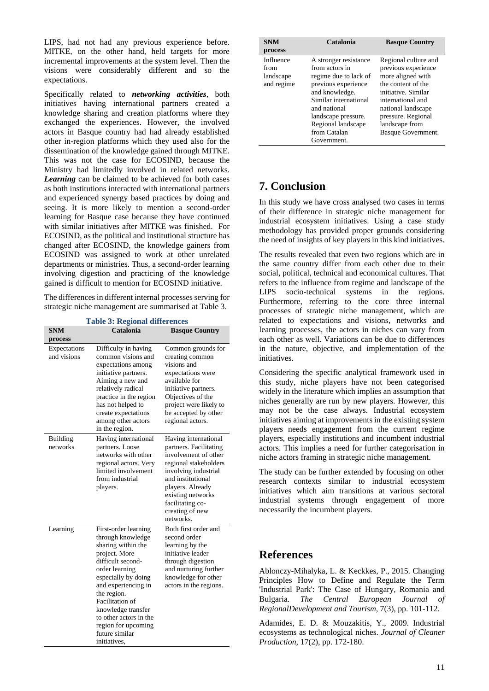LIPS, had not had any previous experience before. MITKE, on the other hand, held targets for more incremental improvements at the system level. Then the visions were considerably different and so the expectations.

Specifically related to *networking activities*, both initiatives having international partners created a knowledge sharing and creation platforms where they exchanged the experiences. However, the involved actors in Basque country had had already established other in-region platforms which they used also for the dissemination of the knowledge gained through MITKE. This was not the case for ECOSIND, because the Ministry had limitedly involved in related networks. *Learning* can be claimed to be achieved for both cases as both institutions interacted with international partners and experienced synergy based practices by doing and seeing. It is more likely to mention a second-order learning for Basque case because they have continued with similar initiatives after MITKE was finished. For ECOSIND, as the political and institutional structure has changed after ECOSIND, the knowledge gainers from ECOSIND was assigned to work at other unrelated departments or ministries. Thus, a second-order learning involving digestion and practicing of the knowledge gained is difficult to mention for ECOSIND initiative.

The differences in different internal processes serving for strategic niche management are summarised at [Table 3.](#page-10-0)

**Table 3: Regional differences**

<span id="page-10-0"></span>

| <b>SNM</b>                             | Catalonia                                                                                                                                                                                                                                                                                                        | <b>Basque Country</b>                                                                                                                                                                                                                     |
|----------------------------------------|------------------------------------------------------------------------------------------------------------------------------------------------------------------------------------------------------------------------------------------------------------------------------------------------------------------|-------------------------------------------------------------------------------------------------------------------------------------------------------------------------------------------------------------------------------------------|
| process<br>Expectations<br>and visions | Difficulty in having<br>common visions and<br>expectations among<br>initiative partners.<br>Aiming a new and<br>relatively radical<br>practice in the region<br>has not helped to<br>create expectations<br>among other actors<br>in the region.                                                                 | Common grounds for<br>creating common<br>visions and<br>expectations were<br>available for<br>initiative partners.<br>Objectives of the<br>project were likely to<br>be accepted by other<br>regional actors.                             |
| <b>Building</b><br>networks            | Having international<br>partners. Loose<br>networks with other<br>regional actors. Very<br>limited involvement<br>from industrial<br>players.                                                                                                                                                                    | Having international<br>partners. Facilitating<br>involvement of other<br>regional stakeholders<br>involving industrial<br>and institutional<br>players. Already<br>existing networks<br>facilitating co-<br>creating of new<br>networks. |
| Learning                               | First-order learning<br>through knowledge<br>sharing within the<br>project. More<br>difficult second-<br>order learning<br>especially by doing<br>and experiencing in<br>the region.<br>Facilitation of<br>knowledge transfer<br>to other actors in the<br>region for upcoming<br>future similar<br>initiatives. | Both first order and<br>second order<br>learning by the<br>initiative leader<br>through digestion<br>and nurturing further<br>knowledge for other<br>actors in the regions.                                                               |

| <b>SNM</b><br>process                        | Catalonia                                                                               | <b>Basque Country</b>                                                                  |
|----------------------------------------------|-----------------------------------------------------------------------------------------|----------------------------------------------------------------------------------------|
| Influence<br>from<br>landscape<br>and regime | A stronger resistance<br>from actors in<br>regime due to lack of<br>previous experience | Regional culture and<br>previous experience<br>more aligned with<br>the content of the |
|                                              | and knowledge.<br>Similar international<br>and national<br>landscape pressure.          | initiative. Similar<br>international and<br>national landscape<br>pressure. Regional   |
|                                              | Regional landscape<br>from Catalan<br>Government.                                       | landscape from<br>Basque Government.                                                   |

# **7. Conclusion**

In this study we have cross analysed two cases in terms of their difference in strategic niche management for industrial ecosystem initiatives. Using a case study methodology has provided proper grounds considering the need of insights of key players in this kind initiatives.

The results revealed that even two regions which are in the same country differ from each other due to their social, political, technical and economical cultures. That refers to the influence from regime and landscape of the LIPS socio-technical systems in the regions. Furthermore, referring to the core three internal processes of strategic niche management, which are related to expectations and visions, networks and learning processes, the actors in niches can vary from each other as well. Variations can be due to differences in the nature, objective, and implementation of the initiatives.

Considering the specific analytical framework used in this study, niche players have not been categorised widely in the literature which implies an assumption that niches generally are run by new players. However, this may not be the case always. Industrial ecosystem initiatives aiming at improvements in the existing system players needs engagement from the current regime players, especially institutions and incumbent industrial actors. This implies a need for further categorisation in niche actors framing in strategic niche management.

The study can be further extended by focusing on other research contexts similar to industrial ecosystem initiatives which aim transitions at various sectoral industrial systems through engagement of more necessarily the incumbent players.

### **References**

Ablonczy-Mihalyka, L. & Keckkes, P., 2015. Changing Principles How to Define and Regulate the Term 'Industrial Park': The Case of Hungary, Romania and Bulgaria. *The Central European Journal of RegionalDevelopment and Tourism,* 7(3), pp. 101-112.

Adamides, E. D. & Mouzakitis, Y., 2009. Industrial ecosystems as technological niches. *Journal of Cleaner Production,* 17(2), pp. 172-180.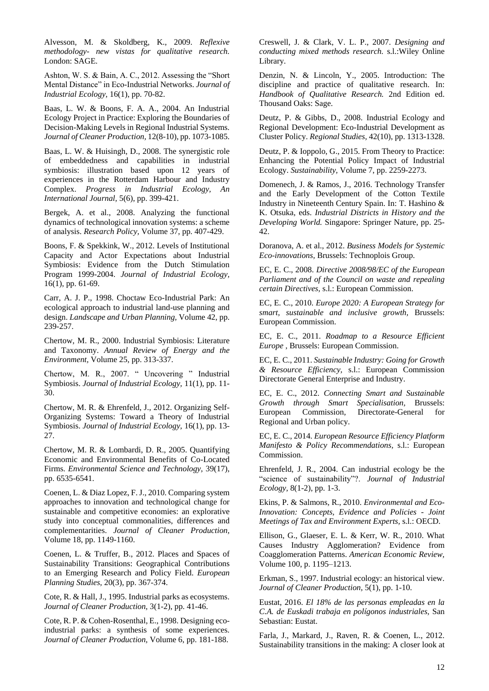Alvesson, M. & Skoldberg, K., 2009. *Reflexive methodology- new vistas for qualitative research.*  London: SAGE.

Ashton, W. S. & Bain, A. C., 2012. Assessing the "Short Mental Distance" in Eco-Industrial Networks. *Journal of Industrial Ecology,* 16(1), pp. 70-82.

Baas, L. W. & Boons, F. A. A., 2004. An Industrial Ecology Project in Practice: Exploring the Boundaries of Decision-Making Levels in Regional Industrial Systems. *Journal of Cleaner Production,* 12(8-10), pp. 1073-1085.

Baas, L. W. & Huisingh, D., 2008. The synergistic role of embeddedness and capabilities in industrial symbiosis: illustration based upon 12 years of experiences in the Rotterdam Harbour and Industry Complex. *Progress in Industrial Ecology, An International Journal,* 5(6), pp. 399-421.

Bergek, A. et al., 2008. Analyzing the functional dynamics of technological innovation systems: a scheme of analysis. *Research Policy,* Volume 37, pp. 407-429.

Boons, F. & Spekkink, W., 2012. Levels of Institutional Capacity and Actor Expectations about Industrial Symbiosis: Evidence from the Dutch Stimulation Program 1999-2004. *Journal of Industrial Ecology,*  16(1), pp. 61-69.

Carr, A. J. P., 1998. Choctaw Eco-Industrial Park: An ecological approach to industrial land-use planning and design. *Landscape and Urban Planning,* Volume 42, pp. 239-257.

Chertow, M. R., 2000. Industrial Symbiosis: Literature and Taxonomy. *Annual Review of Energy and the Environment,* Volume 25, pp. 313-337.

Chertow, M. R., 2007. " Uncovering " Industrial Symbiosis. *Journal of Industrial Ecology,* 11(1), pp. 11- 30.

Chertow, M. R. & Ehrenfeld, J., 2012. Organizing Self-Organizing Systems: Toward a Theory of Industrial Symbiosis. *Journal of Industrial Ecology,* 16(1), pp. 13- 27.

Chertow, M. R. & Lombardi, D. R., 2005. Quantifying Economic and Environmental Benefits of Co-Located Firms. *Environmental Science and Technology,* 39(17), pp. 6535-6541.

Coenen, L. & Diaz Lopez, F. J., 2010. Comparing system approaches to innovation and technological change for sustainable and competitive economies: an explorative study into conceptual commonalities, differences and complementarities. *Journal of Cleaner Production,*  Volume 18, pp. 1149-1160.

Coenen, L. & Truffer, B., 2012. Places and Spaces of Sustainability Transitions: Geographical Contributions to an Emerging Research and Policy Field. *European Planning Studies,* 20(3), pp. 367-374.

Cote, R. & Hall, J., 1995. Industrial parks as ecosystems. *Journal of Cleaner Production,* 3(1-2), pp. 41-46.

Cote, R. P. & Cohen-Rosenthal, E., 1998. Designing ecoindustrial parks: a synthesis of some experiences. *Journal of Cleaner Production,* Volume 6, pp. 181-188.

Creswell, J. & Clark, V. L. P., 2007. *Designing and conducting mixed methods research.* s.l.:Wiley Online Library.

Denzin, N. & Lincoln, Y., 2005. Introduction: The discipline and practice of qualitative research. In: *Handbook of Qualitative Research.* 2nd Edition ed. Thousand Oaks: Sage.

Deutz, P. & Gibbs, D., 2008. Industrial Ecology and Regional Development: Eco-Industrial Development as Cluster Policy. *Regional Studies,* 42(10), pp. 1313-1328.

Deutz, P. & Ioppolo, G., 2015. From Theory to Practice: Enhancing the Potential Policy Impact of Industrial Ecology. *Sustainability,* Volume 7, pp. 2259-2273.

Domenech, J. & Ramos, J., 2016. Technology Transfer and the Early Development of the Cotton Textile Industry in Nineteenth Century Spain. In: T. Hashino & K. Otsuka, eds. *Industrial Districts in History and the Developing World.* Singapore: Springer Nature, pp. 25- 42.

Doranova, A. et al., 2012. *Business Models for Systemic Eco-innovations,* Brussels: Technoplois Group.

EC, E. C., 2008. *Directive 2008/98/EC of the European Parliament and of the Council on waste and repealing certain Directives,* s.l.: European Commission.

EC, E. C., 2010. *Europe 2020: A European Strategy for smart, sustainable and inclusive growth,* Brussels: European Commission.

EC, E. C., 2011. *Roadmap to a Resource Efficient Europe ,* Brussels: European Commission.

EC, E. C., 2011. *Sustainable Industry: Going for Growth & Resource Efficiency,* s.l.: European Commission Directorate General Enterprise and Industry.

EC, E. C., 2012. *Connecting Smart and Sustainable Growth through Smart Specialisation,* Brussels: European Commission, Directorate-General for Regional and Urban policy.

EC, E. C., 2014. *European Resource Efficiency Platform Manifesto & Policy Recommendations,* s.l.: European Commission.

Ehrenfeld, J. R., 2004. Can industrial ecology be the "science of sustainability"?. *Journal of Industrial Ecology,* 8(1-2), pp. 1-3.

Ekins, P. & Salmons, R., 2010. *Environmental and Eco-Innovation: Concepts, Evidence and Policies - Joint Meetings of Tax and Environment Experts,* s.l.: OECD.

Ellison, G., Glaeser, E. L. & Kerr, W. R., 2010. What Causes Industry Agglomeration? Evidence from Coagglomeration Patterns. *American Economic Review,*  Volume 100, p. 1195–1213.

Erkman, S., 1997. Industrial ecology: an historical view. *Journal of Cleaner Production,* 5(1), pp. 1-10.

Eustat, 2016. *El 18% de las personas empleadas en la C.A. de Euskadi trabaja en polígonos industriales,* San Sebastian: Eustat.

Farla, J., Markard, J., Raven, R. & Coenen, L., 2012. Sustainability transitions in the making: A closer look at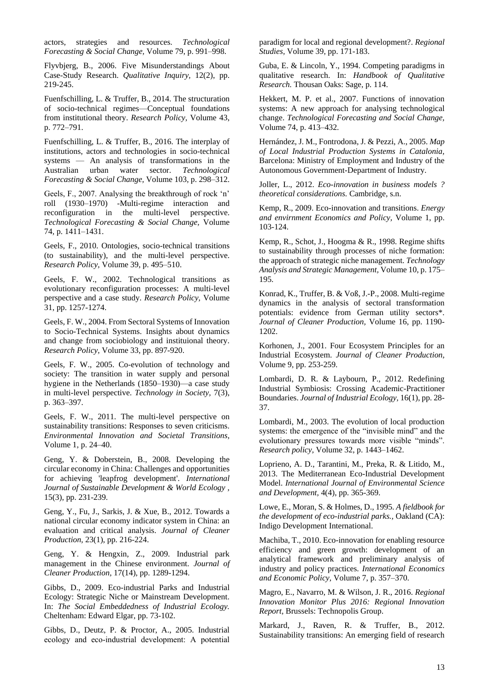actors, strategies and resources. *Technological Forecasting & Social Change,* Volume 79, p. 991–998.

Flyvbjerg, B., 2006. Five Misunderstandings About Case-Study Research. *Qualitative Inquiry,* 12(2), pp. 219-245.

Fuenfschilling, L. & Truffer, B., 2014. The structuration of socio-technical regimes—Conceptual foundations from institutional theory. *Research Policy,* Volume 43, p. 772–791.

Fuenfschilling, L. & Truffer, B., 2016. The interplay of institutions, actors and technologies in socio-technical systems — An analysis of transformations in the Australian urban water sector. *Technological Forecasting & Social Change,* Volume 103, p. 298–312.

Geels, F., 2007. Analysing the breakthrough of rock 'n' roll (1930–1970) -Multi-regime interaction and reconfiguration in the multi-level perspective. *Technological Forecasting & Social Change,* Volume 74, p. 1411–1431.

Geels, F., 2010. Ontologies, socio-technical transitions (to sustainability), and the multi-level perspective. *Research Policy,* Volume 39, p. 495–510.

Geels, F. W., 2002. Technological transitions as evolutionary reconfiguration processes: A multi-level perspective and a case study. *Research Policy,* Volume 31, pp. 1257-1274.

Geels, F. W., 2004. From Sectoral Systems of Innovation to Socio-Technical Systems. Insights about dynamics and change from sociobiology and instituional theory. *Research Policy,* Volume 33, pp. 897-920.

Geels, F. W., 2005. Co-evolution of technology and society: The transition in water supply and personal hygiene in the Netherlands (1850–1930)—a case study in multi-level perspective. *Technology in Society,* 7(3), p. 363–397.

Geels, F. W., 2011. The multi-level perspective on sustainability transitions: Responses to seven criticisms. *Environmental Innovation and Societal Transitions,*  Volume 1, p. 24–40.

Geng, Y. & Doberstein, B., 2008. Developing the circular economy in China: Challenges and opportunities for achieving 'leapfrog development'. *International Journal of Sustainable Development & World Ecology ,*  15(3), pp. 231-239.

Geng, Y., Fu, J., Sarkis, J. & Xue, B., 2012. Towards a national circular economy indicator system in China: an evaluation and critical analysis. *Journal of Cleaner Production,* 23(1), pp. 216-224.

Geng, Y. & Hengxin, Z., 2009. Industrial park management in the Chinese environment. *Journal of Cleaner Production,* 17(14), pp. 1289-1294.

Gibbs, D., 2009. Eco-industrial Parks and Industrial Ecology: Strategic Niche or Mainstream Development. In: *The Social Embeddedness of Industrial Ecology.*  Cheltenham: Edward Elgar, pp. 73-102.

Gibbs, D., Deutz, P. & Proctor, A., 2005. Industrial ecology and eco‐industrial development: A potential paradigm for local and regional development?. *Regional Studies,* Volume 39, pp. 171-183.

Guba, E. & Lincoln, Y., 1994. Competing paradigms in qualitative research. In: *Handbook of Qualitative Research.* Thousan Oaks: Sage, p. 114.

Hekkert, M. P. et al., 2007. Functions of innovation systems: A new approach for analysing technological change. *Technological Forecasting and Social Change,*  Volume 74, p. 413–432.

Hernández, J. M., Fontrodona, J. & Pezzi, A., 2005. *Map of Local Industrial Production Systems in Catalonia,*  Barcelona: Ministry of Employment and Industry of the Autonomous Government-Department of Industry.

Joller, L., 2012. *Eco-innovation in business models ? theoretical considerations.* Cambridge, s.n.

Kemp, R., 2009. Eco-innovation and transitions. *Energy and envirnment Economics and Policy,* Volume 1, pp. 103-124.

Kemp, R., Schot, J., Hoogma & R., 1998. Regime shifts to sustainability through processes of niche formation: the approach of strategic niche management. *Technology Analysis and Strategic Management,* Volume 10, p. 175– 195.

Konrad, K., Truffer, B. & Voß, J.-P., 2008. Multi-regime dynamics in the analysis of sectoral transformation potentials: evidence from German utility sectors\*. *Journal of Cleaner Production,* Volume 16, pp. 1190- 1202.

Korhonen, J., 2001. Four Ecosystem Principles for an Industrial Ecosystem. *Journal of Cleaner Production,*  Volume 9, pp. 253-259.

Lombardi, D. R. & Laybourn, P., 2012. Redefining Industrial Symbiosis: Crossing Academic-Practitioner Boundaries. *Journal of Industrial Ecology,* 16(1), pp. 28- 37.

Lombardi, M., 2003. The evolution of local production systems: the emergence of the "invisible mind" and the evolutionary pressures towards more visible "minds". *Research policy,* Volume 32, p. 1443–1462.

Loprieno, A. D., Tarantini, M., Preka, R. & Litido, M., 2013. The Mediterranean Eco-Industrial Development Model. *International Journal of Environmental Science and Development,* 4(4), pp. 365-369.

Lowe, E., Moran, S. & Holmes, D., 1995. *A fieldbook for the development of eco-industrial parks.,* Oakland (CA): Indigo Development International.

Machiba, T., 2010. Eco-innovation for enabling resource efficiency and green growth: development of an analytical framework and preliminary analysis of industry and policy practices. *International Economics and Economic Policy,* Volume 7, p. 357–370.

Magro, E., Navarro, M. & Wilson, J. R., 2016. *Regional Innovation Monitor Plus 2016: Regional Innovation Report,* Brussels: Technopolis Group.

Markard, J., Raven, R. & Truffer, B., 2012. Sustainability transitions: An emerging field of research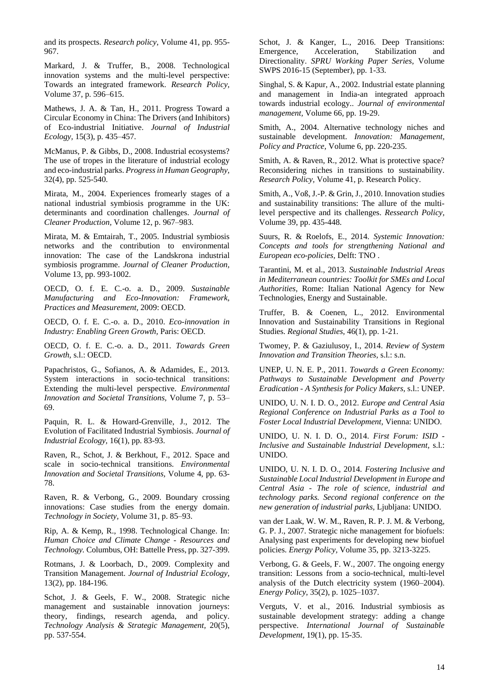and its prospects. *Research policy,* Volume 41, pp. 955- 967.

Markard, J. & Truffer, B., 2008. Technological innovation systems and the multi-level perspective: Towards an integrated framework. *Research Policy,*  Volume 37, p. 596–615.

Mathews, J. A. & Tan, H., 2011. Progress Toward a Circular Economy in China: The Drivers (and Inhibitors) of Eco-industrial Initiative. *Journal of Industrial Ecology,* 15(3), p. 435–457.

McManus, P. & Gibbs, D., 2008. Industrial ecosystems? The use of tropes in the literature of industrial ecology and eco-industrial parks. *Progress in Human Geography,*  32(4), pp. 525-540.

Mirata, M., 2004. Experiences fromearly stages of a national industrial symbiosis programme in the UK: determinants and coordination challenges. *Journal of Cleaner Production,* Volume 12, p. 967–983.

Mirata, M. & Emtairah, T., 2005. Industrial symbiosis networks and the contribution to environmental innovation: The case of the Landskrona industrial symbiosis programme. *Journal of Cleaner Production,*  Volume 13, pp. 993-1002.

OECD, O. f. E. C.-o. a. D., 2009. *Sustainable Manufacturing and Eco-Innovation: Framework, Practices and Measurement,* 2009: OECD.

OECD, O. f. E. C.-o. a. D., 2010. *Eco-innovation in Industry: Enabling Green Growth,* Paris: OECD.

OECD, O. f. E. C.-o. a. D., 2011. *Towards Green Growth,* s.l.: OECD.

Papachristos, G., Sofianos, A. & Adamides, E., 2013. System interactions in socio-technical transitions: Extending the multi-level perspective. *Environmental Innovation and Societal Transitions,* Volume 7, p. 53– 69.

Paquin, R. L. & Howard-Grenville, J., 2012. The Evolution of Facilitated Industrial Symbiosis. *Journal of Industrial Ecology,* 16(1), pp. 83-93.

Raven, R., Schot, J. & Berkhout, F., 2012. Space and scale in socio-technical transitions. *Environmental Innovation and Societal Transitions,* Volume 4, pp. 63- 78.

Raven, R. & Verbong, G., 2009. Boundary crossing innovations: Case studies from the energy domain. *Technology in Society,* Volume 31, p. 85–93.

Rip, A. & Kemp, R., 1998. Technological Change. In: *Human Choice and Climate Change - Resources and Technology.* Columbus, OH: Battelle Press, pp. 327-399.

Rotmans, J. & Loorbach, D., 2009. Complexity and Transition Management. *Journal of Industrial Ecology,*  13(2), pp. 184-196.

Schot, J. & Geels, F. W., 2008. Strategic niche management and sustainable innovation journeys: theory, findings, research agenda, and policy. *Technology Analysis & Strategic Management,* 20(5), pp. 537-554.

Schot, J. & Kanger, L., 2016. Deep Transitions: Emergence, Acceleration, Stabilization and Directionality. *SPRU Working Paper Series,* Volume SWPS 2016-15 (September), pp. 1-33.

Singhal, S. & Kapur, A., 2002. Industrial estate planning and management in India-an integrated approach towards industrial ecology.. *Journal of environmental management,* Volume 66, pp. 19-29.

Smith, A., 2004. Alternative technology niches and sustainable development. *Innovation: Management, Policy and Practice,* Volume 6, pp. 220-235.

Smith, A. & Raven, R., 2012. What is protective space? Reconsidering niches in transitions to sustainability. *Research Policy,* Volume 41, p. Research Policy.

Smith, A., Voß, J.-P. & Grin, J., 2010. Innovation studies and sustainability transitions: The allure of the multilevel perspective and its challenges. *Ressearch Policy,*  Volume 39, pp. 435-448.

Suurs, R. & Roelofs, E., 2014. *Systemic Innovation: Concepts and tools for strengthening National and European eco-policies,* Delft: TNO .

Tarantini, M. et al., 2013. *Sustainable Industrial Areas in Mediterranean countries: Toolkit for SMEs and Local Authorities,* Rome: Italian National Agency for New Technologies, Energy and Sustainable.

Truffer, B. & Coenen, L., 2012. Environmental Innovation and Sustainability Transitions in Regional Studies. *Regional Studies,* 46(1), pp. 1-21.

Twomey, P. & Gaziulusoy, I., 2014. *Review of System Innovation and Transition Theories,* s.l.: s.n.

UNEP, U. N. E. P., 2011. *Towards a Green Economy: Pathways to Sustainable Development and Poverty Eradication - A Synthesis for Policy Makers,* s.l.: UNEP.

UNIDO, U. N. I. D. O., 2012. *Europe and Central Asia Regional Conference on Industrial Parks as a Tool to Foster Local Industrial Development,* Vienna: UNIDO.

UNIDO, U. N. I. D. O., 2014. *First Forum: ISID - Inclusive and Sustainable Industrial Development,* s.l.: UNIDO.

UNIDO, U. N. I. D. O., 2014. *Fostering Inclusive and Sustainable Local Industrial Development in Europe and Central Asia - The role of science, industrial and technology parks. Second regional conference on the new generation of industrial parks,* Ljubljana: UNIDO.

van der Laak, W. W. M., Raven, R. P. J. M. & Verbong, G. P. J., 2007. Strategic niche management for biofuels: Analysing past experiments for developing new biofuel policies. *Energy Policy,* Volume 35, pp. 3213-3225.

Verbong, G. & Geels, F. W., 2007. The ongoing energy transition: Lessons from a socio-technical, multi-level analysis of the Dutch electricity system (1960–2004). *Energy Policy,* 35(2), p. 1025–1037.

Verguts, V. et al., 2016. Industrial symbiosis as sustainable development strategy: adding a change perspective. *International Journal of Sustainable Development,* 19(1), pp. 15-35.